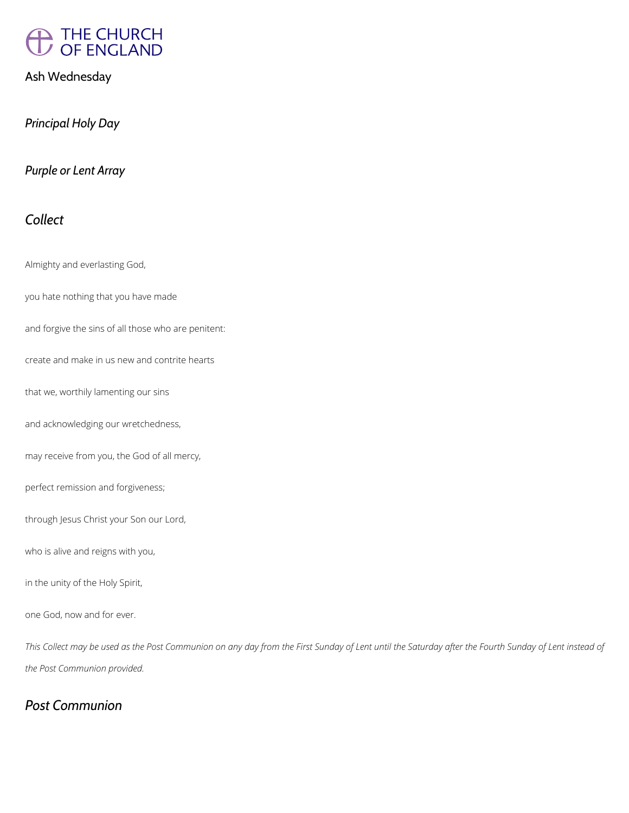

Ash Wednesday

*Principal Holy Day*

*Purple or Lent Array*

## *Collect*

Almighty and everlasting God,

you hate nothing that you have made

and forgive the sins of all those who are penitent:

create and make in us new and contrite hearts

that we, worthily lamenting our sins

and acknowledging our wretchedness,

may receive from you, the God of all mercy,

perfect remission and forgiveness;

through Jesus Christ your Son our Lord,

who is alive and reigns with you,

in the unity of the Holy Spirit,

*This Collect may be used as the Post Communion on any day from the First Sunday of Lent until the Saturday after the Fourth Sunday of Lent instead of* 

*the Post Communion provided.*

## *Post Communion*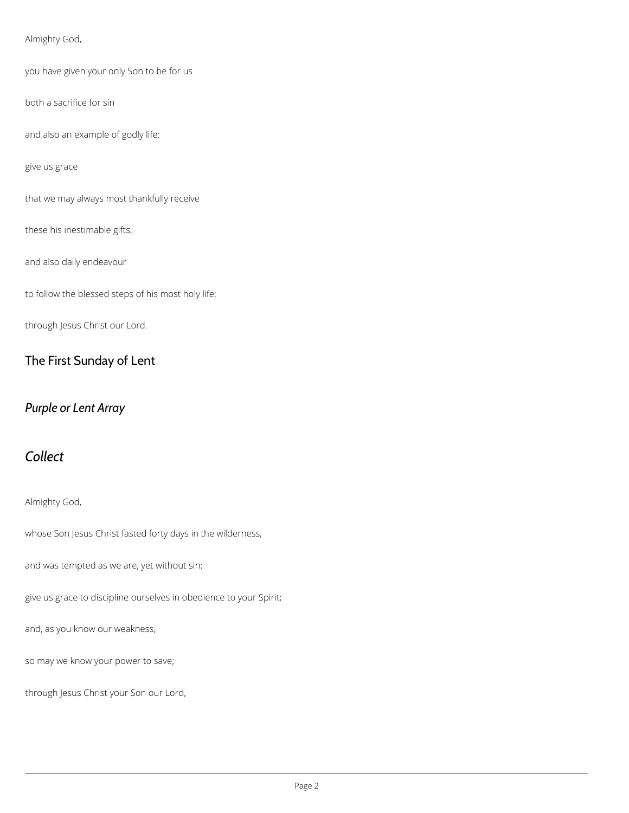#### Almighty God,

you have given your only Son to be for us

both a sacrifice for sin

and also an example of godly life:

give us grace

that we may always most thankfully receive

these his inestimable gifts,

and also daily endeavour

to follow the blessed steps of his most holy life;

through Jesus Christ our Lord.

#### The First Sunday of Lent

## *Purple or Lent Array*

# *Collect*

Almighty God,

whose Son Jesus Christ fasted forty days in the wilderness,

and was tempted as we are, yet without sin:

give us grace to discipline ourselves in obedience to your Spirit;

and, as you know our weakness,

so may we know your power to save;

through Jesus Christ your Son our Lord,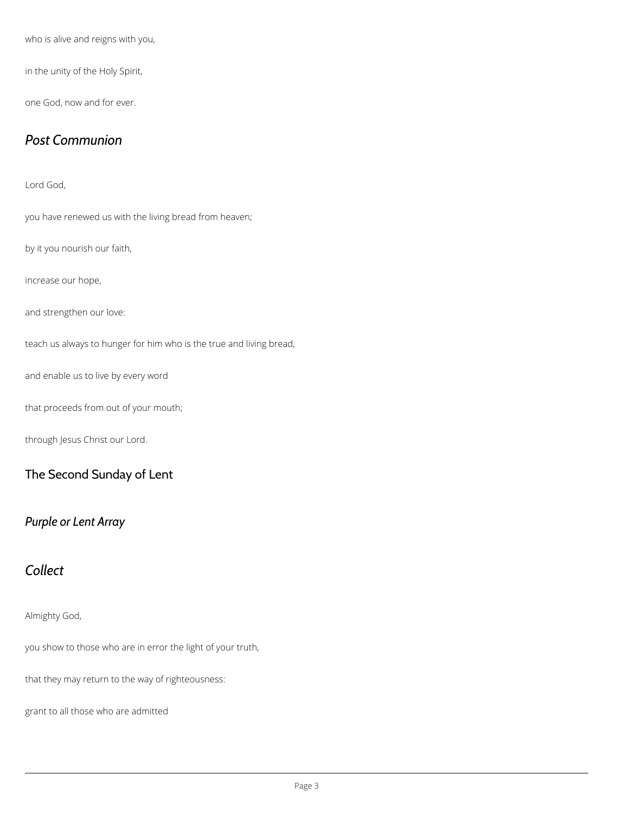who is alive and reigns with you,

in the unity of the Holy Spirit,

one God, now and for ever.

## *Post Communion*

Lord God,

you have renewed us with the living bread from heaven;

by it you nourish our faith,

increase our hope,

and strengthen our love:

teach us always to hunger for him who is the true and living bread,

and enable us to live by every word

that proceeds from out of your mouth;

through Jesus Christ our Lord.

#### The Second Sunday of Lent

## *Purple or Lent Array*

## *Collect*

#### Almighty God,

you show to those who are in error the light of your truth,

that they may return to the way of righteousness:

grant to all those who are admitted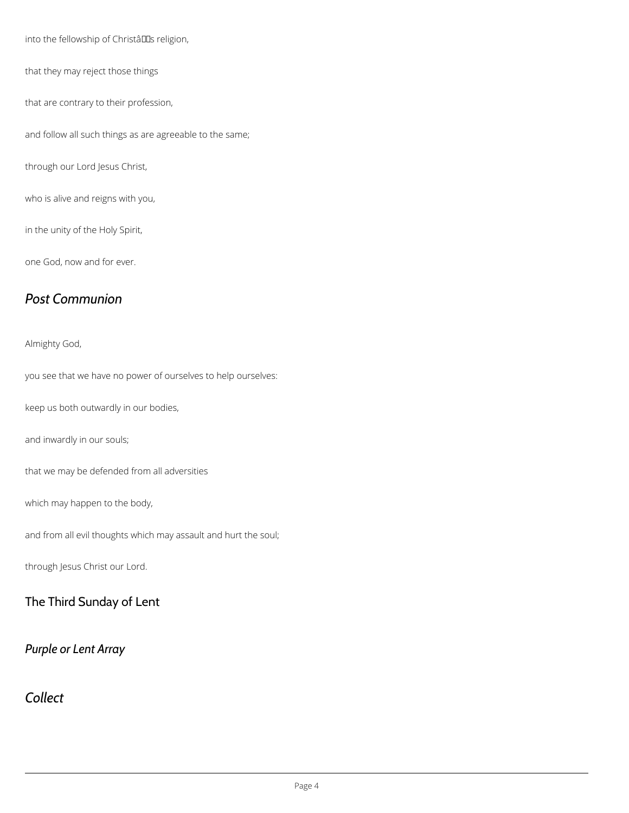into the fellowship of Christâlls religion,

that they may reject those things

that are contrary to their profession,

and follow all such things as are agreeable to the same;

through our Lord Jesus Christ,

who is alive and reigns with you,

in the unity of the Holy Spirit,

one God, now and for ever.

## *Post Communion*

Almighty God,

you see that we have no power of ourselves to help ourselves:

keep us both outwardly in our bodies,

and inwardly in our souls;

that we may be defended from all adversities

which may happen to the body,

and from all evil thoughts which may assault and hurt the soul;

through Jesus Christ our Lord.

## The Third Sunday of Lent

*Purple or Lent Array*

## *Collect*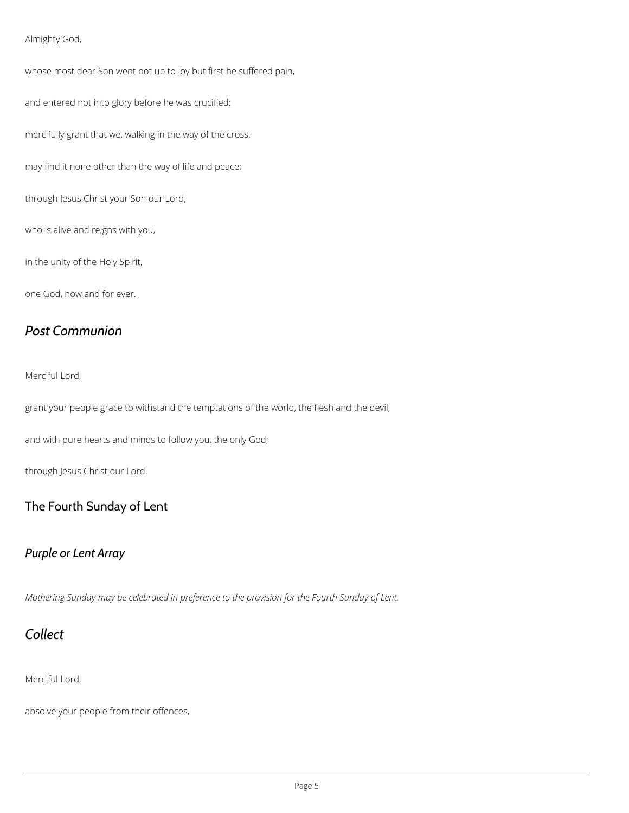#### Almighty God,

whose most dear Son went not up to joy but first he suffered pain,

and entered not into glory before he was crucified:

mercifully grant that we, walking in the way of the cross,

may find it none other than the way of life and peace;

through Jesus Christ your Son our Lord,

who is alive and reigns with you,

in the unity of the Holy Spirit,

one God, now and for ever.

## *Post Communion*

Merciful Lord,

grant your people grace to withstand the temptations of the world, the flesh and the devil,

and with pure hearts and minds to follow you, the only God;

through Jesus Christ our Lord.

#### The Fourth Sunday of Lent

#### *Purple or Lent Array*

*Mothering Sunday may be celebrated in preference to the provision for the Fourth Sunday of Lent.*



Merciful Lord,

absolve your people from their offences,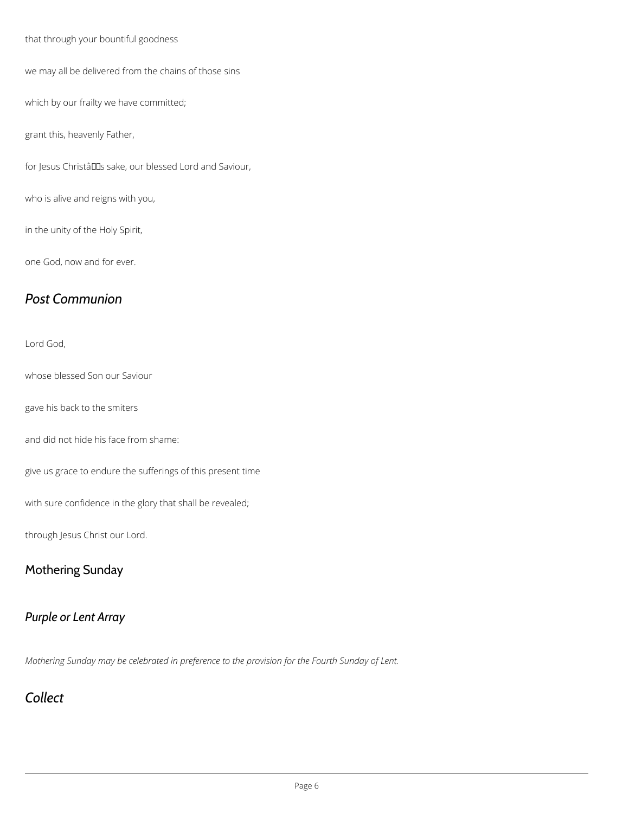that through your bountiful goodness

we may all be delivered from the chains of those sins

which by our frailty we have committed;

grant this, heavenly Father,

for Jesus Christâlles sake, our blessed Lord and Saviour,

who is alive and reigns with you,

in the unity of the Holy Spirit,

one God, now and for ever.

## *Post Communion*

Lord God,

whose blessed Son our Saviour

gave his back to the smiters

and did not hide his face from shame:

give us grace to endure the sufferings of this present time

with sure confidence in the glory that shall be revealed;

through Jesus Christ our Lord.

#### Mothering Sunday

## *Purple or Lent Array*

*Mothering Sunday may be celebrated in preference to the provision for the Fourth Sunday of Lent.*

## *Collect*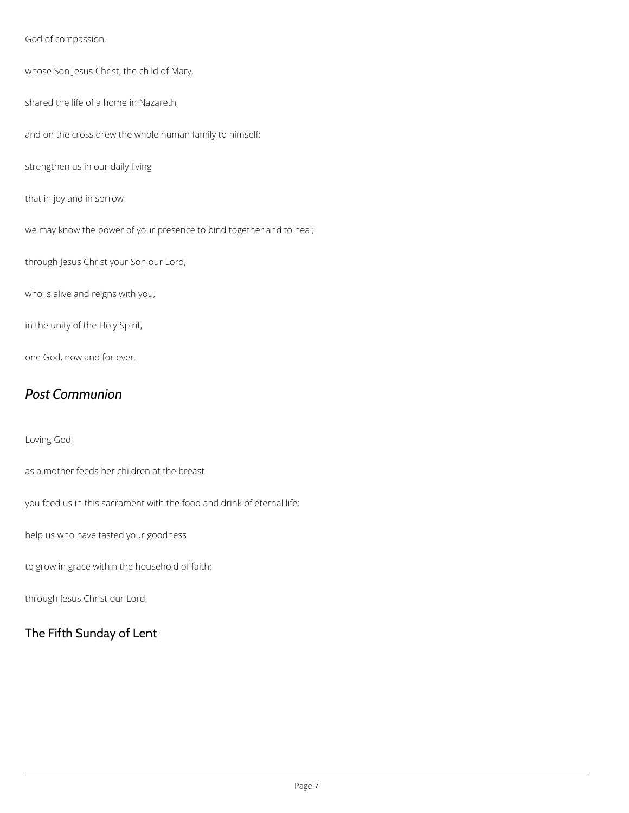God of compassion,

whose Son Jesus Christ, the child of Mary,

shared the life of a home in Nazareth,

and on the cross drew the whole human family to himself:

strengthen us in our daily living

that in joy and in sorrow

we may know the power of your presence to bind together and to heal;

through Jesus Christ your Son our Lord,

who is alive and reigns with you,

in the unity of the Holy Spirit,

one God, now and for ever.

## *Post Communion*

Loving God,

as a mother feeds her children at the breast

you feed us in this sacrament with the food and drink of eternal life:

help us who have tasted your goodness

to grow in grace within the household of faith;

through Jesus Christ our Lord.

## The Fifth Sunday of Lent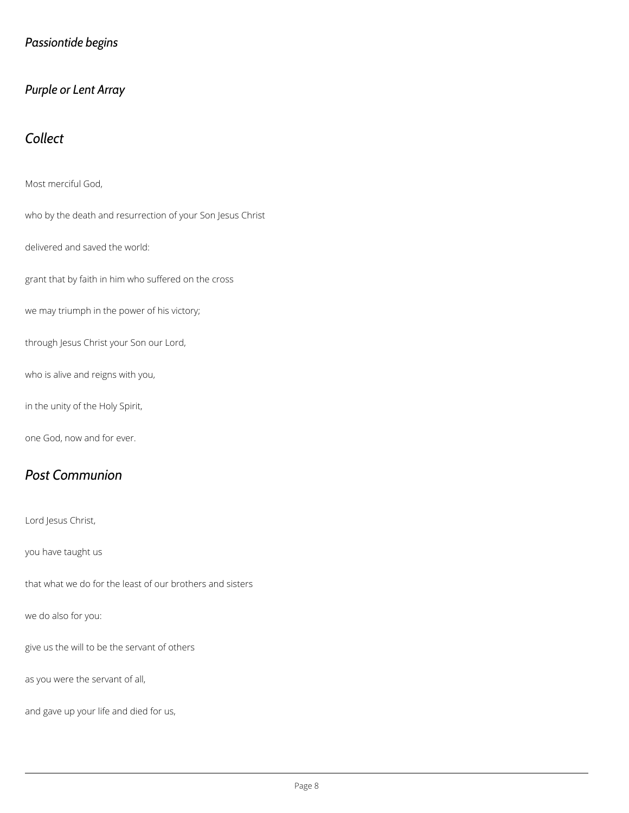## *Passiontide begins*

### *Purple or Lent Array*

## *Collect*

Most merciful God,

who by the death and resurrection of your Son Jesus Christ

delivered and saved the world:

grant that by faith in him who suffered on the cross

we may triumph in the power of his victory;

through Jesus Christ your Son our Lord,

who is alive and reigns with you,

in the unity of the Holy Spirit,

one God, now and for ever.

## *Post Communion*

Lord Jesus Christ,

you have taught us

that what we do for the least of our brothers and sisters

we do also for you:

give us the will to be the servant of others

as you were the servant of all,

and gave up your life and died for us,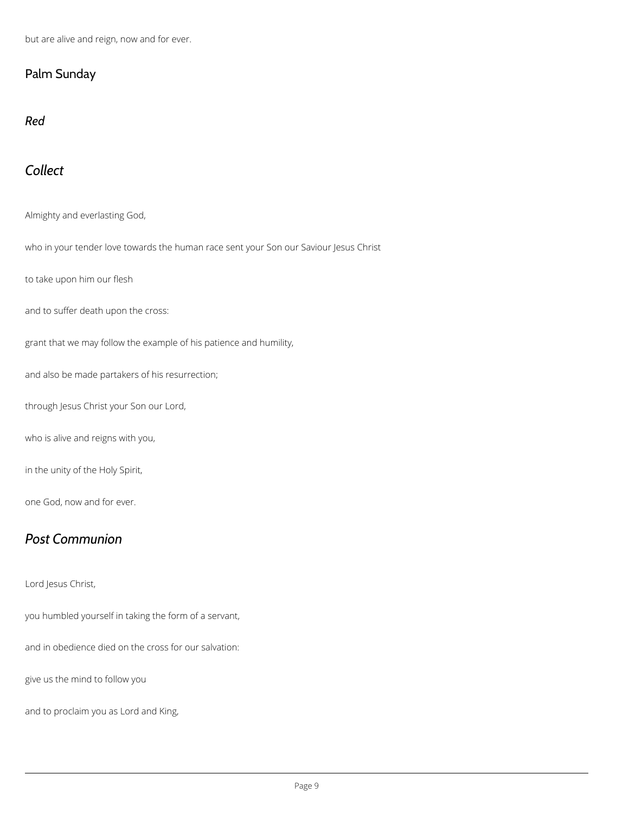but are alive and reign, now and for ever.

## Palm Sunday

*Red*

# *Collect*

Almighty and everlasting God,

who in your tender love towards the human race sent your Son our Saviour Jesus Christ

to take upon him our flesh

and to suffer death upon the cross:

grant that we may follow the example of his patience and humility,

and also be made partakers of his resurrection;

through Jesus Christ your Son our Lord,

who is alive and reigns with you,

in the unity of the Holy Spirit,

one God, now and for ever.

# *Post Communion*

Lord Jesus Christ,

you humbled yourself in taking the form of a servant,

and in obedience died on the cross for our salvation:

give us the mind to follow you

and to proclaim you as Lord and King,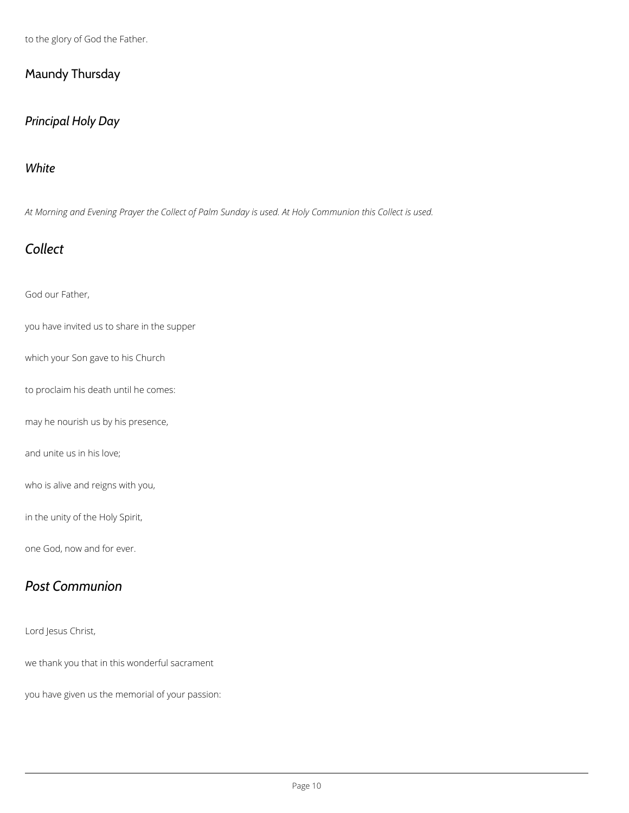to the glory of God the Father.

## Maundy Thursday

## *Principal Holy Day*

#### *White*

*At Morning and Evening Prayer the Collect of Palm Sunday is used. At Holy Communion this Collect is used.*

# *Collect*

God our Father,

you have invited us to share in the supper

which your Son gave to his Church

to proclaim his death until he comes:

may he nourish us by his presence,

and unite us in his love;

who is alive and reigns with you,

in the unity of the Holy Spirit,

one God, now and for ever.

# *Post Communion*

Lord Jesus Christ,

we thank you that in this wonderful sacrament

you have given us the memorial of your passion: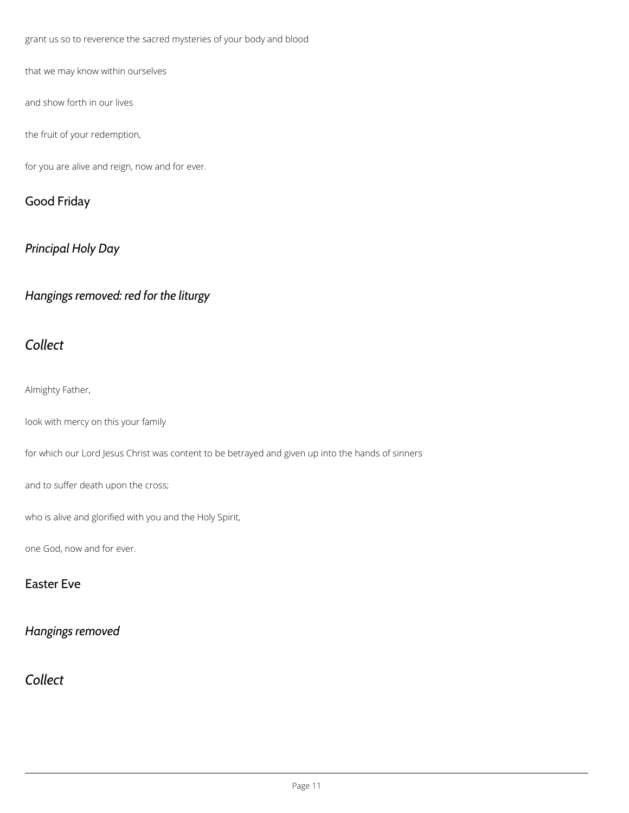grant us so to reverence the sacred mysteries of your body and blood

that we may know within ourselves

and show forth in our lives

the fruit of your redemption,

for you are alive and reign, now and for ever.

## Good Friday

## *Principal Holy Day*

*Hangings removed: red for the liturgy*

## *Collect*

Almighty Father,

look with mercy on this your family

for which our Lord Jesus Christ was content to be betrayed and given up into the hands of sinners

and to suffer death upon the cross;

who is alive and glorified with you and the Holy Spirit,

one God, now and for ever.

### Easter Eve



*Collect*